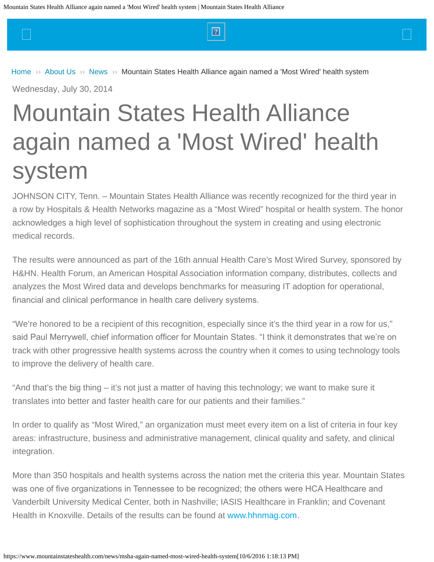<span id="page-0-0"></span> $\Box$  and the set of the set of the set of  $\Box$  and the set of the set of the set of  $\Box$ 

### [Home](https://www.mountainstateshealth.com/)  $\gg$  [About Us](https://www.mountainstateshealth.com/about-us)  $\gg$  [News](https://www.mountainstateshealth.com/news)  $\gg$  [Mountain States Health Alliance again named a 'Most Wired' health system](#page-0-0)

Wednesday, July 30, 2014

# Mountain States Health Alliance again named a 'Most Wired' health system

JOHNSON CITY, Tenn. – Mountain States Health Alliance was recently recognized for the third year in a row by Hospitals & Health Networks magazine as a "Most Wired" hospital or health system. The honor acknowledges a high level of sophistication throughout the system in creating and using electronic medical records.

The results were announced as part of the 16th annual Health Care's Most Wired Survey, sponsored by H&HN. Health Forum, an American Hospital Association information company, distributes, collects and analyzes the Most Wired data and develops benchmarks for measuring IT adoption for operational, fnancial and clinical performance in health care delivery systems.

"We're honored to be a recipient of this recognition, especially since it's the third year in a row for us," said Paul Merrywell, chief information officer for Mountain States. "I think it demonstrates that we're on track with other progressive health systems across the country when it comes to using technology tools to improve the delivery of health care.

"And that's the big thing – it's not just a matter of having this technology; we want to make sure it translates into better and faster health care for our patients and their families."

In order to qualify as "Most Wired," an organization must meet every item on a list of criteria in four key areas: infrastructure, business and administrative management, clinical quality and safety, and clinical integration.

More than 350 hospitals and health systems across the nation met the criteria this year. Mountain States was one of five organizations in Tennessee to be recognized; the others were HCA Healthcare and Vanderbilt University Medical Center, both in Nashville; IASIS Healthcare in Franklin; and Covenant Health in Knoxville. Details of the results can be found at [www.hhnmag.com](http://www.hhnmag.com/).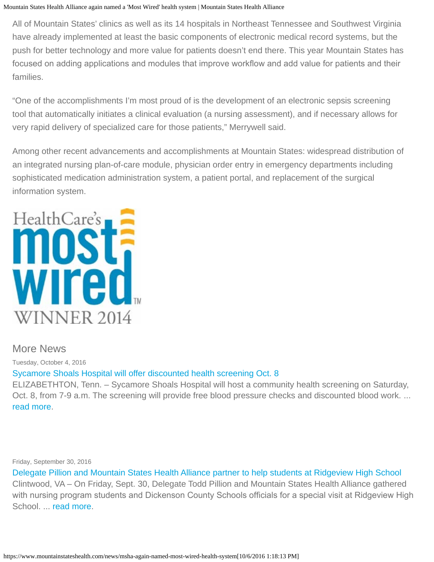#### Mountain States Health Alliance again named a 'Most Wired' health system | Mountain States Health Alliance

All of Mountain States' clinics as well as its 14 hospitals in Northeast Tennessee and Southwest Virginia have already implemented at least the basic components of electronic medical record systems, but the push for better technology and more value for patients doesn't end there. This year Mountain States has focused on adding applications and modules that improve workflow and add value for patients and their families.

"One of the accomplishments I'm most proud of is the development of an electronic sepsis screening tool that automatically initiates a clinical evaluation (a nursing assessment), and if necessary allows for very rapid delivery of specialized care for those patients," Merrywell said.

Among other recent advancements and accomplishments at Mountain States: widespread distribution of an integrated nursing plan-of-care module, physician order entry in emergency departments including sophisticated medication administration system, a patient portal, and replacement of the surgical information system.



## More News

Tuesday, October 4, 2016 [Sycamore Shoals Hospital will offer discounted health screening Oct. 8](https://www.mountainstateshealth.com/news/Sycamore-Shoals-Hospital-to-offer-discounted-health-screening-Oct.-8)

ELIZABETHTON, Tenn. – Sycamore Shoals Hospital will host a community health screening on Saturday, Oct. 8, from 7-9 a.m. The screening will provide free blood pressure checks and discounted blood work. ... [read more](https://www.mountainstateshealth.com/news/Sycamore-Shoals-Hospital-to-offer-discounted-health-screening-Oct.-8).

Friday, September 30, 2016

[Delegate Pillion and Mountain States Health Alliance partner to help students at Ridgeview High School](https://www.mountainstateshealth.com/news/delegate-pillion-and-mountain-states-health-alliance-partner-help-students-ridgeview-high) Clintwood, VA – On Friday, Sept. 30, Delegate Todd Pillion and Mountain States Health Alliance gathered with nursing program students and Dickenson County Schools officials for a special visit at Ridgeview High School. ... [read more](https://www.mountainstateshealth.com/news/delegate-pillion-and-mountain-states-health-alliance-partner-help-students-ridgeview-high).